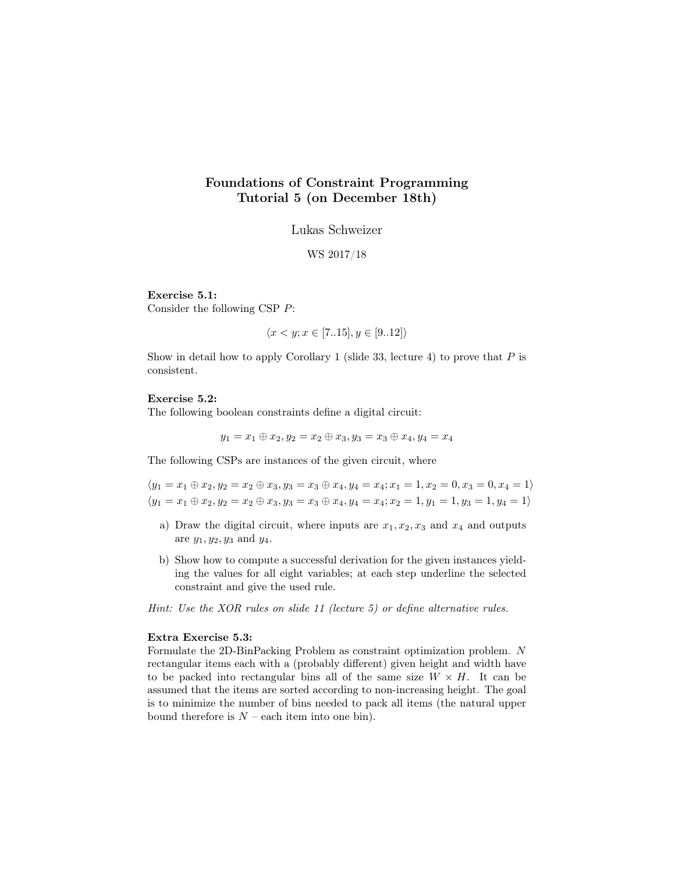## Foundations of Constraint Programming Tutorial 5 (on December 18th)

Lukas Schweizer

WS 2017/18

Exercise 5.1:

Consider the following CSP P:

$$
\langle x < y; x \in [7..15], y \in [9..12] \rangle
$$

Show in detail how to apply Corollary 1 (slide 33, lecture 4) to prove that  $P$  is consistent.

## Exercise 5.2:

The following boolean constraints define a digital circuit:

$$
y_1 = x_1 \oplus x_2, y_2 = x_2 \oplus x_3, y_3 = x_3 \oplus x_4, y_4 = x_4
$$

The following CSPs are instances of the given circuit, where

 $\langle y_1 = x_1 \oplus x_2, y_2 = x_2 \oplus x_3, y_3 = x_3 \oplus x_4, y_4 = x_4; x_1 = 1, x_2 = 0, x_3 = 0, x_4 = 1 \rangle$  $\langle y_1 = x_1 \oplus x_2, y_2 = x_2 \oplus x_3, y_3 = x_3 \oplus x_4, y_4 = x_4; x_2 = 1, y_1 = 1, y_3 = 1, y_4 = 1 \rangle$ 

- a) Draw the digital circuit, where inputs are  $x_1, x_2, x_3$  and  $x_4$  and outputs are  $y_1, y_2, y_3$  and  $y_4$ .
- b) Show how to compute a successful derivation for the given instances yielding the values for all eight variables; at each step underline the selected constraint and give the used rule.

Hint: Use the XOR rules on slide 11 (lecture 5) or define alternative rules.

## Extra Exercise 5.3:

Formulate the 2D-BinPacking Problem as constraint optimization problem. N rectangular items each with a (probably different) given height and width have to be packed into rectangular bins all of the same size  $W \times H$ . It can be assumed that the items are sorted according to non-increasing height. The goal is to minimize the number of bins needed to pack all items (the natural upper bound therefore is  $N$  – each item into one bin).